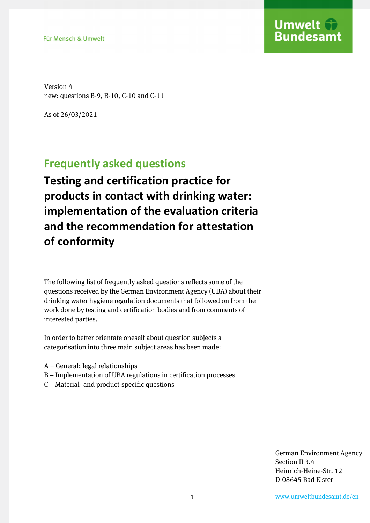

Version 4 new: questions B-9, B-10, C-10 and C-11

As of 26/03/2021

# **Frequently asked questions**

**Testing and certification practice for products in contact with drinking water: implementation of the evaluation criteria and the recommendation for attestation of conformity** 

The following list of frequently asked questions reflects some of the questions received by the German Environment Agency (UBA) about their drinking water hygiene regulation documents that followed on from the work done by testing and certification bodies and from comments of interested parties.

In order to better orientate oneself about question subjects a categorisation into three main subject areas has been made:

- A General; legal relationships
- B Implementation of UBA regulations in certification processes
- C Material- and product-specific questions

German Environment Agency Section II 3.4 Heinrich-Heine-Str. 12 D-08645 Bad Elster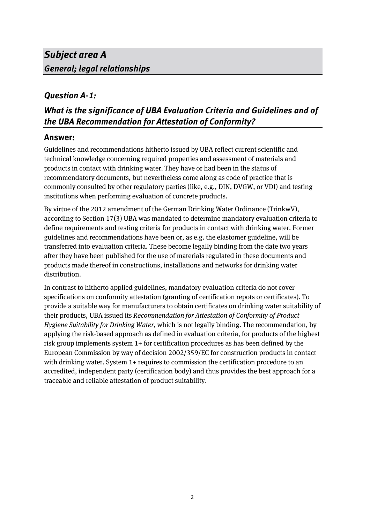# *Subject area A General; legal relationships*

### *Question A-1:*

## *What is the significance of UBA Evaluation Criteria and Guidelines and of the UBA Recommendation for Attestation of Conformity?*

### **Answer:**

Guidelines and recommendations hitherto issued by UBA reflect current scientific and technical knowledge concerning required properties and assessment of materials and products in contact with drinking water. They have or had been in the status of recommendatory documents, but nevertheless come along as code of practice that is commonly consulted by other regulatory parties (like, e.g., DIN, DVGW, or VDI) and testing institutions when performing evaluation of concrete products.

By virtue of the 2012 amendment of the German Drinking Water Ordinance (TrinkwV), according to Section 17(3) UBA was mandated to determine mandatory evaluation criteria to define requirements and testing criteria for products in contact with drinking water. Former guidelines and recommendations have been or, as e.g. the elastomer guideline, will be transferred into evaluation criteria. These become legally binding from the date two years after they have been published for the use of materials regulated in these documents and products made thereof in constructions, installations and networks for drinking water distribution.

In contrast to hitherto applied guidelines, mandatory evaluation criteria do not cover specifications on conformity attestation (granting of certification repots or certificates). To provide a suitable way for manufacturers to obtain certificates on drinking water suitability of their products, UBA issued its *Recommendation for Attestation of Conformity of Product Hygiene Suitability for Drinking Water*, which is not legally binding. The recommendation, by applying the risk-based approach as defined in evaluation criteria, for products of the highest risk group implements system 1+ for certification procedures as has been defined by the European Commission by way of decision 2002/359/EC for construction products in contact with drinking water. System 1+ requires to commission the certification procedure to an accredited, independent party (certification body) and thus provides the best approach for a traceable and reliable attestation of product suitability.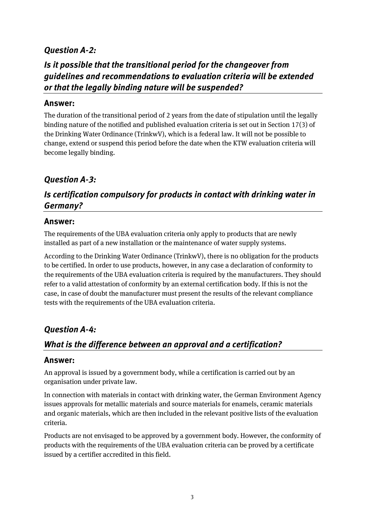### *Question A-2:*

## *Is it possible that the transitional period for the changeover from guidelines and recommendations to evaluation criteria will be extended or that the legally binding nature will be suspended?*

#### **Answer:**

The duration of the transitional period of 2 years from the date of stipulation until the legally binding nature of the notified and published evaluation criteria is set out in Section 17(3) of the Drinking Water Ordinance (TrinkwV), which is a federal law. It will not be possible to change, extend or suspend this period before the date when the KTW evaluation criteria will become legally binding.

### *Question A-3:*

## *Is certification compulsory for products in contact with drinking water in Germany?*

#### **Answer:**

The requirements of the UBA evaluation criteria only apply to products that are newly installed as part of a new installation or the maintenance of water supply systems.

According to the Drinking Water Ordinance (TrinkwV), there is no obligation for the products to be certified. In order to use products, however, in any case a declaration of conformity to the requirements of the UBA evaluation criteria is required by the manufacturers. They should refer to a valid attestation of conformity by an external certification body. If this is not the case, in case of doubt the manufacturer must present the results of the relevant compliance tests with the requirements of the UBA evaluation criteria.

### *Question A-4:*

### *What is the difference between an approval and a certification?*

#### **Answer:**

An approval is issued by a government body, while a certification is carried out by an organisation under private law.

In connection with materials in contact with drinking water, the German Environment Agency issues approvals for metallic materials and source materials for enamels, ceramic materials and organic materials, which are then included in the relevant positive lists of the evaluation criteria.

Products are not envisaged to be approved by a government body. However, the conformity of products with the requirements of the UBA evaluation criteria can be proved by a certificate issued by a certifier accredited in this field.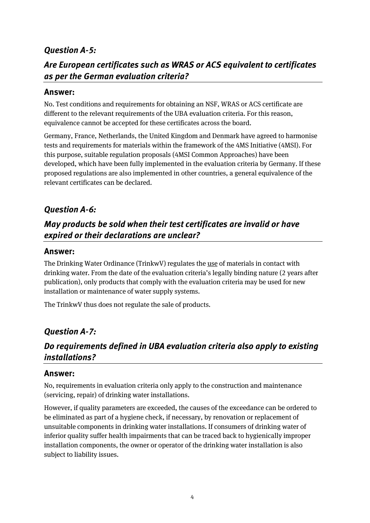### *Question A-5:*

## *Are European certificates such as WRAS or ACS equivalent to certificates as per the German evaluation criteria?*

#### **Answer:**

No. Test conditions and requirements for obtaining an NSF, WRAS or ACS certificate are different to the relevant requirements of the UBA evaluation criteria. For this reason, equivalence cannot be accepted for these certificates across the board.

Germany, France, Netherlands, the United Kingdom and Denmark have agreed to harmonise tests and requirements for materials within the framework of the 4MS Initiative (4MSI). For this purpose, suitable regulation proposals (4MSI Common Approaches) have been developed, which have been fully implemented in the evaluation criteria by Germany. If these proposed regulations are also implemented in other countries, a general equivalence of the relevant certificates can be declared.

## *Question A-6:*

## *May products be sold when their test certificates are invalid or have expired or their declarations are unclear?*

#### **Answer:**

The Drinking Water Ordinance (TrinkwV) regulates the use of materials in contact with drinking water. From the date of the evaluation criteria's legally binding nature (2 years after publication), only products that comply with the evaluation criteria may be used for new installation or maintenance of water supply systems.

The TrinkwV thus does not regulate the sale of products.

### *Question A-7:*

## *Do requirements defined in UBA evaluation criteria also apply to existing installations?*

#### **Answer:**

No, requirements in evaluation criteria only apply to the construction and maintenance (servicing, repair) of drinking water installations.

However, if quality parameters are exceeded, the causes of the exceedance can be ordered to be eliminated as part of a hygiene check, if necessary, by renovation or replacement of unsuitable components in drinking water installations. If consumers of drinking water of inferior quality suffer health impairments that can be traced back to hygienically improper installation components, the owner or operator of the drinking water installation is also subject to liability issues.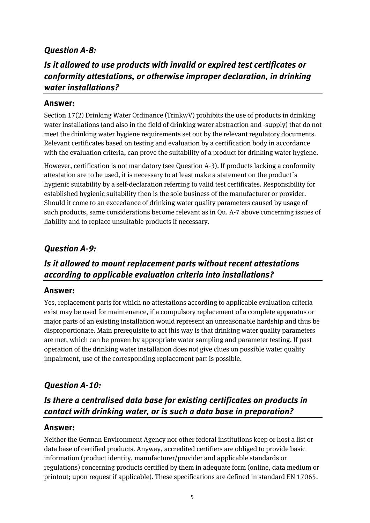### *Question A-8:*

## *Is it allowed to use products with invalid or expired test certificates or conformity attestations, or otherwise improper declaration, in drinking water installations?*

#### **Answer:**

Section 17(2) Drinking Water Ordinance (TrinkwV) prohibits the use of products in drinking water installations (and also in the field of drinking water abstraction and -supply) that do not meet the drinking water hygiene requirements set out by the relevant regulatory documents. Relevant certificates based on testing and evaluation by a certification body in accordance with the evaluation criteria, can prove the suitability of a product for drinking water hygiene.

However, certification is not mandatory (see Question A-3). If products lacking a conformity attestation are to be used, it is necessary to at least make a statement on the product´s hygienic suitability by a self-declaration referring to valid test certificates. Responsibility for established hygienic suitability then is the sole business of the manufacturer or provider. Should it come to an exceedance of drinking water quality parameters caused by usage of such products, same considerations become relevant as in Qu. A-7 above concerning issues of liability and to replace unsuitable products if necessary.

### *Question A-9:*

## *Is it allowed to mount replacement parts without recent attestations according to applicable evaluation criteria into installations?*

#### **Answer:**

Yes, replacement parts for which no attestations according to applicable evaluation criteria exist may be used for maintenance, if a compulsory replacement of a complete apparatus or major parts of an existing installation would represent an unreasonable hardship and thus be disproportionate. Main prerequisite to act this way is that drinking water quality parameters are met, which can be proven by appropriate water sampling and parameter testing. If past operation of the drinking water installation does not give clues on possible water quality impairment, use of the corresponding replacement part is possible.

### *Question A-10:*

## *Is there a centralised data base for existing certificates on products in contact with drinking water, or is such a data base in preparation?*

#### **Answer:**

Neither the German Environment Agency nor other federal institutions keep or host a list or data base of certified products. Anyway, accredited certifiers are obliged to provide basic information (product identity, manufacturer/provider and applicable standards or regulations) concerning products certified by them in adequate form (online, data medium or printout; upon request if applicable). These specifications are defined in standard EN 17065.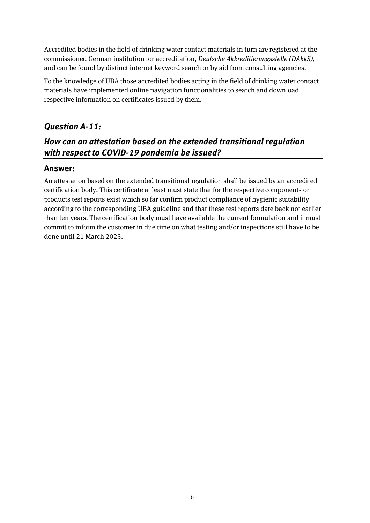Accredited bodies in the field of drinking water contact materials in turn are registered at the commissioned German institution for accreditation, *Deutsche Akkreditierungsstelle (DAkkS)*, and can be found by distinct internet keyword search or by aid from consulting agencies.

To the knowledge of UBA those accredited bodies acting in the field of drinking water contact materials have implemented online navigation functionalities to search and download respective information on certificates issued by them.

### *Question A-11:*

## *How can an attestation based on the extended transitional regulation with respect to COVID-19 pandemia be issued?*

### **Answer:**

An attestation based on the extended transitional regulation shall be issued by an accredited certification body. This certificate at least must state that for the respective components or products test reports exist which so far confirm product compliance of hygienic suitability according to the corresponding UBA guideline and that these test reports date back not earlier than ten years. The certification body must have available the current formulation and it must commit to inform the customer in due time on what testing and/or inspections still have to be done until 21 March 2023.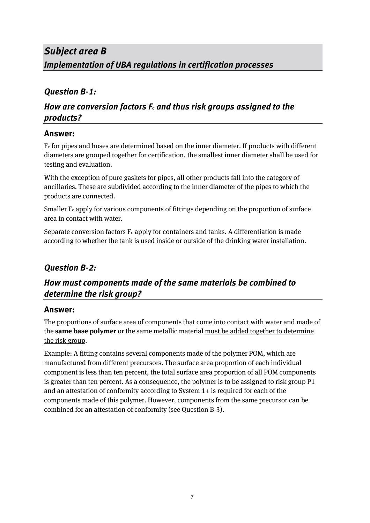# *Subject area B Implementation of UBA regulations in certification processes*

### *Question B-1:*

## *How are conversion factors Fc and thus risk groups assigned to the products?*

### **Answer:**

Fc for pipes and hoses are determined based on the inner diameter. If products with different diameters are grouped together for certification, the smallest inner diameter shall be used for testing and evaluation.

With the exception of pure gaskets for pipes, all other products fall into the category of ancillaries. These are subdivided according to the inner diameter of the pipes to which the products are connected.

Smaller  $F_c$  apply for various components of fittings depending on the proportion of surface area in contact with water.

Separate conversion factors  $F_c$  apply for containers and tanks. A differentiation is made according to whether the tank is used inside or outside of the drinking water installation.

## *Question B-2:*

## *How must components made of the same materials be combined to determine the risk group?*

#### **Answer:**

The proportions of surface area of components that come into contact with water and made of the **same base polymer** or the same metallic material must be added together to determine the risk group.

Example: A fitting contains several components made of the polymer POM, which are manufactured from different precursors. The surface area proportion of each individual component is less than ten percent, the total surface area proportion of all POM components is greater than ten percent. As a consequence, the polymer is to be assigned to risk group P1 and an attestation of conformity according to System 1+ is required for each of the components made of this polymer. However, components from the same precursor can be combined for an attestation of conformity (see Question B-3).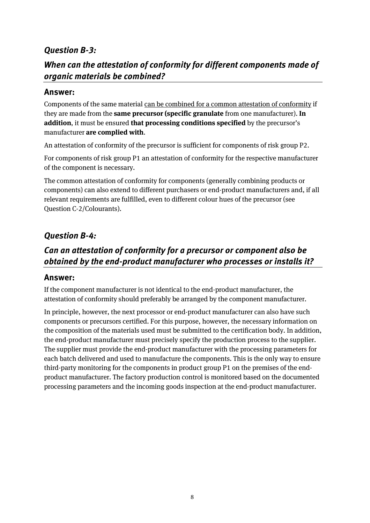### *Question B-3:*

### *When can the attestation of conformity for different components made of organic materials be combined?*

#### **Answer:**

Components of the same material can be combined for a common attestation of conformity if they are made from the **same precursor (specific granulate** from one manufacturer). **In addition**, it must be ensured **that processing conditions specified** by the precursor's manufacturer **are complied with**.

An attestation of conformity of the precursor is sufficient for components of risk group P2.

For components of risk group P1 an attestation of conformity for the respective manufacturer of the component is necessary.

The common attestation of conformity for components (generally combining products or components) can also extend to different purchasers or end-product manufacturers and, if all relevant requirements are fulfilled, even to different colour hues of the precursor (see Question C-2/Colourants).

#### *Question B-4:*

## *Can an attestation of conformity for a precursor or component also be obtained by the end-product manufacturer who processes or installs it?*

#### **Answer:**

If the component manufacturer is not identical to the end-product manufacturer, the attestation of conformity should preferably be arranged by the component manufacturer.

In principle, however, the next processor or end-product manufacturer can also have such components or precursors certified. For this purpose, however, the necessary information on the composition of the materials used must be submitted to the certification body. In addition, the end-product manufacturer must precisely specify the production process to the supplier. The supplier must provide the end-product manufacturer with the processing parameters for each batch delivered and used to manufacture the components. This is the only way to ensure third-party monitoring for the components in product group P1 on the premises of the endproduct manufacturer. The factory production control is monitored based on the documented processing parameters and the incoming goods inspection at the end-product manufacturer.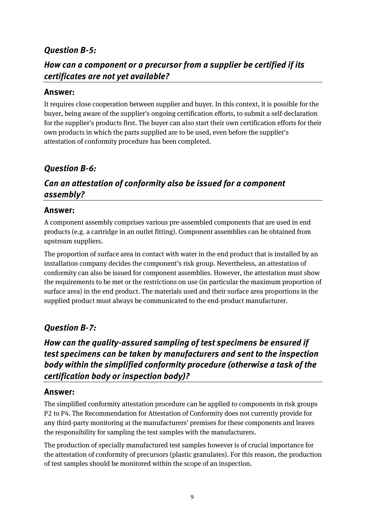### *Question B-5:*

### *How can a component or a precursor from a supplier be certified if its certificates are not yet available?*

#### **Answer:**

It requires close cooperation between supplier and buyer. In this context, it is possible for the buyer, being aware of the supplier's ongoing certification efforts, to submit a self-declaration for the supplier's products first. The buyer can also start their own certification efforts for their own products in which the parts supplied are to be used, even before the supplier's attestation of conformity procedure has been completed.

### *Question B-6:*

## *Can an attestation of conformity also be issued for a component assembly?*

#### **Answer:**

A component assembly comprises various pre-assembled components that are used in end products (e.g. a cartridge in an outlet fitting). Component assemblies can be obtained from upstream suppliers.

The proportion of surface area in contact with water in the end product that is installed by an installation company decides the component's risk group. Nevertheless, an attestation of conformity can also be issued for component assemblies. However, the attestation must show the requirements to be met or the restrictions on use (in particular the maximum proportion of surface area) in the end product. The materials used and their surface area proportions in the supplied product must always be communicated to the end-product manufacturer.

#### *Question B-7:*

## *How can the quality-assured sampling of test specimens be ensured if test specimens can be taken by manufacturers and sent to the inspection body within the simplified conformity procedure (otherwise a task of the certification body or inspection body)?*

#### **Answer:**

The simplified conformity attestation procedure can be applied to components in risk groups P2 to P4. The Recommendation for Attestation of Conformity does not currently provide for any third-party monitoring at the manufacturers' premises for these components and leaves the responsibility for sampling the test samples with the manufacturers.

The production of specially manufactured test samples however is of crucial importance for the attestation of conformity of precursors (plastic granulates). For this reason, the production of test samples should be monitored within the scope of an inspection.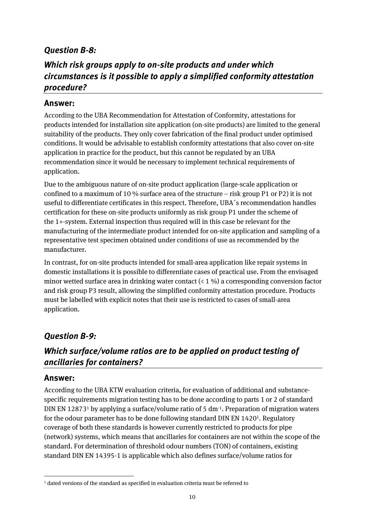### *Question B-8:*

## *Which risk groups apply to on-site products and under which circumstances is it possible to apply a simplified conformity attestation procedure?*

#### **Answer:**

According to the UBA Recommendation for Attestation of Conformity, attestations for products intended for installation site application (on-site products) are limited to the general suitability of the products. They only cover fabrication of the final product under optimised conditions. It would be advisable to establish conformity attestations that also cover on-site application in practice for the product, but this cannot be regulated by an UBA recommendation since it would be necessary to implement technical requirements of application.

Due to the ambiguous nature of on-site product application (large-scale application or confined to a maximum of 10 % surface area of the structure – risk group P1 or P2) it is not useful to differentiate certificates in this respect. Therefore, UBA´s recommendation handles certification for these on-site products uniformly as risk group P1 under the scheme of the 1+-system. External inspection thus required will in this case be relevant for the manufacturing of the intermediate product intended for on-site application and sampling of a representative test specimen obtained under conditions of use as recommended by the manufacturer.

In contrast, for on-site products intended for small-area application like repair systems in domestic installations it is possible to differentiate cases of practical use. From the envisaged minor wetted surface area in drinking water contact  $(1\%)$  a corresponding conversion factor and risk group P3 result, allowing the simplified conformity attestation procedure. Products must be labelled with explicit notes that their use is restricted to cases of small-area application.

#### *Question B-9:*

## *Which surface/volume ratios are to be applied on product testing of ancillaries for containers?*

#### **Answer:**

 $\overline{\phantom{a}}$ 

According to the UBA KTW evaluation criteria, for evaluation of additional and substancespecific requirements migration testing has to be done according to parts 1 or 2 of standard DIN EN 12873<sup>1</sup> by applying a surface/volume ratio of 5 dm<sup>-1</sup>. Preparation of migration waters for the odour parameter has to be done following standard DIN EN 1420<sup>1</sup>. Regulatory coverage of both these standards is however currently restricted to products for pipe (network) systems, which means that ancillaries for containers are not within the scope of the standard. For determination of threshold odour numbers (TON) of containers, existing standard DIN EN 14395-1 is applicable which also defines surface/volume ratios for

<sup>1</sup> dated versions of the standard as specified in evaluation criteria must be referred to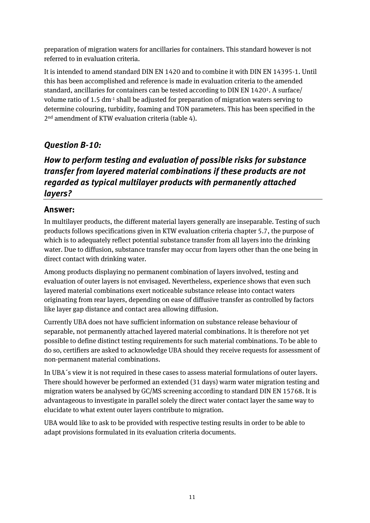preparation of migration waters for ancillaries for containers. This standard however is not referred to in evaluation criteria.

It is intended to amend standard DIN EN 1420 and to combine it with DIN EN 14395-1. Until this has been accomplished and reference is made in evaluation criteria to the amended standard, ancillaries for containers can be tested according to DIN EN 1420<sup>1</sup>. A surface/ volume ratio of 1.5 dm<sup>-1</sup> shall be adjusted for preparation of migration waters serving to determine colouring, turbidity, foaming and TON parameters. This has been specified in the 2nd amendment of KTW evaluation criteria (table 4).

### *Question B-10:*

## *How to perform testing and evaluation of possible risks for substance transfer from layered material combinations if these products are not regarded as typical multilayer products with permanently attached layers?*

### **Answer:**

In multilayer products, the different material layers generally are inseparable. Testing of such products follows specifications given in KTW evaluation criteria chapter 5.7, the purpose of which is to adequately reflect potential substance transfer from all layers into the drinking water. Due to diffusion, substance transfer may occur from layers other than the one being in direct contact with drinking water.

Among products displaying no permanent combination of layers involved, testing and evaluation of outer layers is not envisaged. Nevertheless, experience shows that even such layered material combinations exert noticeable substance release into contact waters originating from rear layers, depending on ease of diffusive transfer as controlled by factors like layer gap distance and contact area allowing diffusion.

Currently UBA does not have sufficient information on substance release behaviour of separable, not permanently attached layered material combinations. It is therefore not yet possible to define distinct testing requirements for such material combinations. To be able to do so, certifiers are asked to acknowledge UBA should they receive requests for assessment of non-permanent material combinations.

In UBA´s view it is not required in these cases to assess material formulations of outer layers. There should however be performed an extended (31 days) warm water migration testing and migration waters be analysed by GC/MS screening according to standard DIN EN 15768. It is advantageous to investigate in parallel solely the direct water contact layer the same way to elucidate to what extent outer layers contribute to migration.

UBA would like to ask to be provided with respective testing results in order to be able to adapt provisions formulated in its evaluation criteria documents.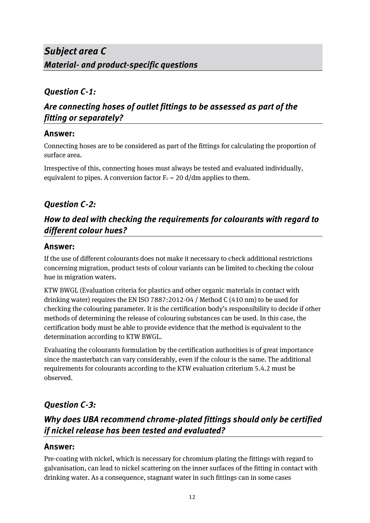### *Question C-1:*

## *Are connecting hoses of outlet fittings to be assessed as part of the fitting or separately?*

### **Answer:**

Connecting hoses are to be considered as part of the fittings for calculating the proportion of surface area.

Irrespective of this, connecting hoses must always be tested and evaluated individually, equivalent to pipes. A conversion factor  $F_c = 20$  d/dm applies to them.

## *Question C-2:*

## *How to deal with checking the requirements for colourants with regard to different colour hues?*

### **Answer:**

If the use of different colourants does not make it necessary to check additional restrictions concerning migration, product tests of colour variants can be limited to checking the colour hue in migration waters.

KTW BWGL (Evaluation criteria for plastics and other organic materials in contact with drinking water) requires the EN ISO 7887:2012-04 / Method C (410 nm) to be used for checking the colouring parameter. It is the certification body's responsibility to decide if other methods of determining the release of colouring substances can be used. In this case, the certification body must be able to provide evidence that the method is equivalent to the determination according to KTW BWGL.

Evaluating the colourants formulation by the certification authorities is of great importance since the masterbatch can vary considerably, even if the colour is the same. The additional requirements for colourants according to the KTW evaluation criterium 5.4.2 must be observed.

## *Question C-3:*

## *Why does UBA recommend chrome-plated fittings should only be certified if nickel release has been tested and evaluated?*

### **Answer:**

Pre-coating with nickel, which is necessary for chromium-plating the fittings with regard to galvanisation, can lead to nickel scattering on the inner surfaces of the fitting in contact with drinking water. As a consequence, stagnant water in such fittings can in some cases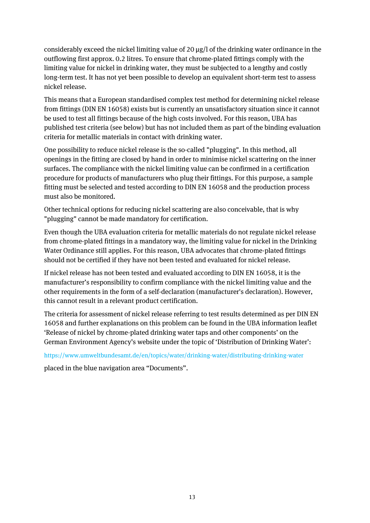considerably exceed the nickel limiting value of 20  $\mu$ g/l of the drinking water ordinance in the outflowing first approx. 0.2 litres. To ensure that chrome-plated fittings comply with the limiting value for nickel in drinking water, they must be subjected to a lengthy and costly long-term test. It has not yet been possible to develop an equivalent short-term test to assess nickel release.

This means that a European standardised complex test method for determining nickel release from fittings (DIN EN 16058) exists but is currently an unsatisfactory situation since it cannot be used to test all fittings because of the high costs involved. For this reason, UBA has published test criteria (see below) but has not included them as part of the binding evaluation criteria for metallic materials in contact with drinking water.

One possibility to reduce nickel release is the so-called "plugging". In this method, all openings in the fitting are closed by hand in order to minimise nickel scattering on the inner surfaces. The compliance with the nickel limiting value can be confirmed in a certification procedure for products of manufacturers who plug their fittings. For this purpose, a sample fitting must be selected and tested according to DIN EN 16058 and the production process must also be monitored.

Other technical options for reducing nickel scattering are also conceivable, that is why "plugging" cannot be made mandatory for certification.

Even though the UBA evaluation criteria for metallic materials do not regulate nickel release from chrome-plated fittings in a mandatory way, the limiting value for nickel in the Drinking Water Ordinance still applies. For this reason, UBA advocates that chrome-plated fittings should not be certified if they have not been tested and evaluated for nickel release.

If nickel release has not been tested and evaluated according to DIN EN 16058, it is the manufacturer's responsibility to confirm compliance with the nickel limiting value and the other requirements in the form of a self-declaration (manufacturer's declaration). However, this cannot result in a relevant product certification.

The criteria for assessment of nickel release referring to test results determined as per DIN EN 16058 and further explanations on this problem can be found in the UBA information leaflet 'Release of nickel by chrome-plated drinking water taps and other components' on the German Environment Agency's website under the topic of 'Distribution of Drinking Water':

https://www.umweltbundesamt.de/en/topics/water/drinking-water/distributing-drinking-water

placed in the blue navigation area "Documents".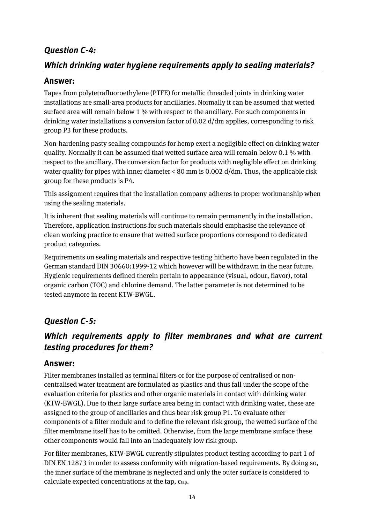### *Question C-4:*

### *Which drinking water hygiene requirements apply to sealing materials?*

### **Answer:**

Tapes from polytetrafluoroethylene (PTFE) for metallic threaded joints in drinking water installations are small-area products for ancillaries. Normally it can be assumed that wetted surface area will remain below 1 % with respect to the ancillary. For such components in drinking water installations a conversion factor of 0.02 d/dm applies, corresponding to risk group P3 for these products.

Non-hardening pasty sealing compounds for hemp exert a negligible effect on drinking water quality. Normally it can be assumed that wetted surface area will remain below 0.1 % with respect to the ancillary. The conversion factor for products with negligible effect on drinking water quality for pipes with inner diameter < 80 mm is 0.002 d/dm. Thus, the applicable risk group for these products is P4.

This assignment requires that the installation company adheres to proper workmanship when using the sealing materials.

It is inherent that sealing materials will continue to remain permanently in the installation. Therefore, application instructions for such materials should emphasise the relevance of clean working practice to ensure that wetted surface proportions correspond to dedicated product categories.

Requirements on sealing materials and respective testing hitherto have been regulated in the German standard DIN 30660:1999-12 which however will be withdrawn in the near future. Hygienic requirements defined therein pertain to appearance (visual, odour, flavor), total organic carbon (TOC) and chlorine demand. The latter parameter is not determined to be tested anymore in recent KTW-BWGL.

## *Question C-5:*

## *Which requirements apply to filter membranes and what are current testing procedures for them?*

#### **Answer:**

Filter membranes installed as terminal filters or for the purpose of centralised or noncentralised water treatment are formulated as plastics and thus fall under the scope of the evaluation criteria for plastics and other organic materials in contact with drinking water (KTW-BWGL). Due to their large surface area being in contact with drinking water, these are assigned to the group of ancillaries and thus bear risk group P1. To evaluate other components of a filter module and to define the relevant risk group, the wetted surface of the filter membrane itself has to be omitted. Otherwise, from the large membrane surface these other components would fall into an inadequately low risk group.

For filter membranes, KTW-BWGL currently stipulates product testing according to part 1 of DIN EN 12873 in order to assess conformity with migration-based requirements. By doing so, the inner surface of the membrane is neglected and only the outer surface is considered to calculate expected concentrations at the tap, ctap.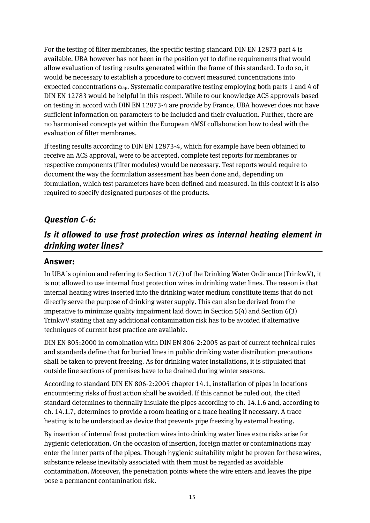For the testing of filter membranes, the specific testing standard DIN EN 12873 part 4 is available. UBA however has not been in the position yet to define requirements that would allow evaluation of testing results generated within the frame of this standard. To do so, it would be necessary to establish a procedure to convert measured concentrations into expected concentrations ctap. Systematic comparative testing employing both parts 1 and 4 of DIN EN 12783 would be helpful in this respect. While to our knowledge ACS approvals based on testing in accord with DIN EN 12873-4 are provide by France, UBA however does not have sufficient information on parameters to be included and their evaluation. Further, there are no harmonised concepts yet within the European 4MSI collaboration how to deal with the evaluation of filter membranes.

If testing results according to DIN EN 12873-4, which for example have been obtained to receive an ACS approval, were to be accepted, complete test reports for membranes or respective components (filter modules) would be necessary. Test reports would require to document the way the formulation assessment has been done and, depending on formulation, which test parameters have been defined and measured. In this context it is also required to specify designated purposes of the products.

### *Question C-6:*

## *Is it allowed to use frost protection wires as internal heating element in drinking water lines?*

#### **Answer:**

In UBA´s opinion and referring to Section 17(7) of the Drinking Water Ordinance (TrinkwV), it is not allowed to use internal frost protection wires in drinking water lines. The reason is that internal heating wires inserted into the drinking water medium constitute items that do not directly serve the purpose of drinking water supply. This can also be derived from the imperative to minimize quality impairment laid down in Section 5(4) and Section 6(3) TrinkwV stating that any additional contamination risk has to be avoided if alternative techniques of current best practice are available.

DIN EN 805:2000 in combination with DIN EN 806-2:2005 as part of current technical rules and standards define that for buried lines in public drinking water distribution precautions shall be taken to prevent freezing. As for drinking water installations, it is stipulated that outside line sections of premises have to be drained during winter seasons.

According to standard DIN EN 806-2:2005 chapter 14.1, installation of pipes in locations encountering risks of frost action shall be avoided. If this cannot be ruled out, the cited standard determines to thermally insulate the pipes according to ch. 14.1.6 and, according to ch. 14.1.7, determines to provide a room heating or a trace heating if necessary. A trace heating is to be understood as device that prevents pipe freezing by external heating.

By insertion of internal frost protection wires into drinking water lines extra risks arise for hygienic deterioration. On the occasion of insertion, foreign matter or contaminations may enter the inner parts of the pipes. Though hygienic suitability might be proven for these wires, substance release inevitably associated with them must be regarded as avoidable contamination. Moreover, the penetration points where the wire enters and leaves the pipe pose a permanent contamination risk.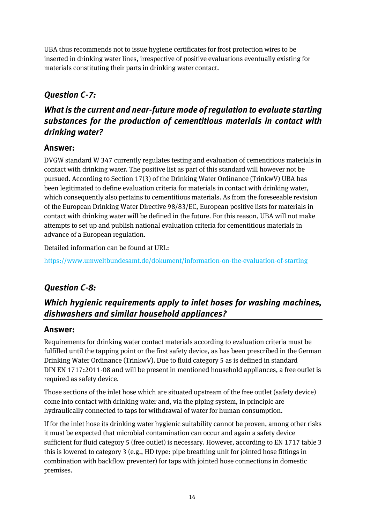UBA thus recommends not to issue hygiene certificates for frost protection wires to be inserted in drinking water lines, irrespective of positive evaluations eventually existing for materials constituting their parts in drinking water contact.

## *Question C-7:*

## *What is the current and near-future mode of regulation to evaluate starting substances for the production of cementitious materials in contact with drinking water?*

### **Answer:**

DVGW standard W 347 currently regulates testing and evaluation of cementitious materials in contact with drinking water. The positive list as part of this standard will however not be pursued. According to Section 17(3) of the Drinking Water Ordinance (TrinkwV) UBA has been legitimated to define evaluation criteria for materials in contact with drinking water, which consequently also pertains to cementitious materials. As from the foreseeable revision of the European Drinking Water Directive 98/83/EC, European positive lists for materials in contact with drinking water will be defined in the future. For this reason, UBA will not make attempts to set up and publish national evaluation criteria for cementitious materials in advance of a European regulation.

Detailed information can be found at URL:

https://www.umweltbundesamt.de/dokument/information-on-the-evaluation-of-starting

## *Question C-8:*

## *Which hygienic requirements apply to inlet hoses for washing machines, dishwashers and similar household appliances?*

### **Answer:**

Requirements for drinking water contact materials according to evaluation criteria must be fulfilled until the tapping point or the first safety device, as has been prescribed in the German Drinking Water Ordinance (TrinkwV). Due to fluid category 5 as is defined in standard DIN EN 1717:2011-08 and will be present in mentioned household appliances, a free outlet is required as safety device.

Those sections of the inlet hose which are situated upstream of the free outlet (safety device) come into contact with drinking water and, via the piping system, in principle are hydraulically connected to taps for withdrawal of water for human consumption.

If for the inlet hose its drinking water hygienic suitability cannot be proven, among other risks it must be expected that microbial contamination can occur and again a safety device sufficient for fluid category 5 (free outlet) is necessary. However, according to EN 1717 table 3 this is lowered to category 3 (e.g., HD type: pipe breathing unit for jointed hose fittings in combination with backflow preventer) for taps with jointed hose connections in domestic premises.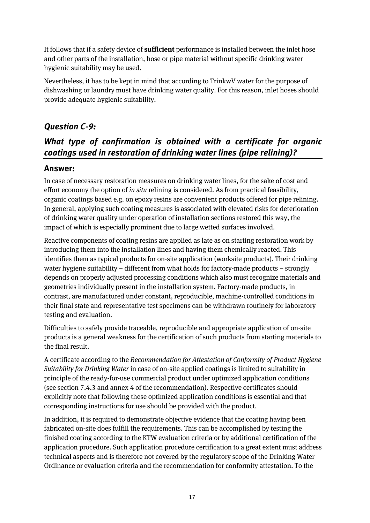It follows that if a safety device of **sufficient** performance is installed between the inlet hose and other parts of the installation, hose or pipe material without specific drinking water hygienic suitability may be used.

Nevertheless, it has to be kept in mind that according to TrinkwV water for the purpose of dishwashing or laundry must have drinking water quality. For this reason, inlet hoses should provide adequate hygienic suitability.

### *Question C-9:*

## *What type of confirmation is obtained with a certificate for organic coatings used in restoration of drinking water lines (pipe relining)?*

### **Answer:**

In case of necessary restoration measures on drinking water lines, for the sake of cost and effort economy the option of *in situ* relining is considered. As from practical feasibility, organic coatings based e.g. on epoxy resins are convenient products offered for pipe relining. In general, applying such coating measures is associated with elevated risks for deterioration of drinking water quality under operation of installation sections restored this way, the impact of which is especially prominent due to large wetted surfaces involved.

Reactive components of coating resins are applied as late as on starting restoration work by introducing them into the installation lines and having them chemically reacted. This identifies them as typical products for on-site application (worksite products). Their drinking water hygiene suitability – different from what holds for factory-made products – strongly depends on properly adjusted processing conditions which also must recognize materials and geometries individually present in the installation system. Factory-made products, in contrast, are manufactured under constant, reproducible, machine-controlled conditions in their final state and representative test specimens can be withdrawn routinely for laboratory testing and evaluation.

Difficulties to safely provide traceable, reproducible and appropriate application of on-site products is a general weakness for the certification of such products from starting materials to the final result.

A certificate according to the *Recommendation for Attestation of Conformity of Product Hygiene Suitability for Drinking Water* in case of on-site applied coatings is limited to suitability in principle of the ready-for-use commercial product under optimized application conditions (see section 7.4.3 and annex 4 of the recommendation). Respective certificates should explicitly note that following these optimized application conditions is essential and that corresponding instructions for use should be provided with the product.

In addition, it is required to demonstrate objective evidence that the coating having been fabricated on-site does fulfill the requirements. This can be accomplished by testing the finished coating according to the KTW evaluation criteria or by additional certification of the application procedure. Such application procedure certification to a great extent must address technical aspects and is therefore not covered by the regulatory scope of the Drinking Water Ordinance or evaluation criteria and the recommendation for conformity attestation. To the